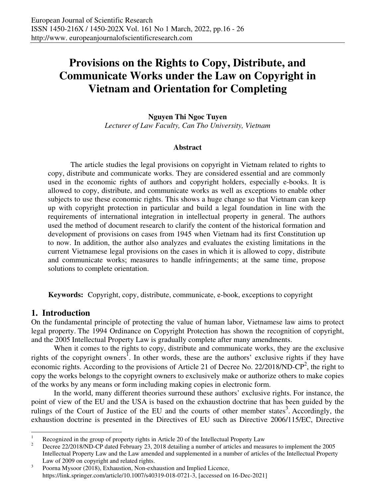# **Provisions on the Rights to Copy, Distribute, and Communicate Works under the Law on Copyright in Vietnam and Orientation for Completing**

**Nguyen Thi Ngoc Tuyen**  *Lecturer of Law Faculty, Can Tho University, Vietnam* 

#### **Abstract**

The article studies the legal provisions on copyright in Vietnam related to rights to copy, distribute and communicate works. They are considered essential and are commonly used in the economic rights of authors and copyright holders, especially e-books. It is allowed to copy, distribute, and communicate works as well as exceptions to enable other subjects to use these economic rights. This shows a huge change so that Vietnam can keep up with copyright protection in particular and build a legal foundation in line with the requirements of international integration in intellectual property in general. The authors used the method of document research to clarify the content of the historical formation and development of provisions on cases from 1945 when Vietnam had its first Constitution up to now. In addition, the author also analyzes and evaluates the existing limitations in the current Vietnamese legal provisions on the cases in which it is allowed to copy, distribute and communicate works; measures to handle infringements; at the same time, propose solutions to complete orientation.

**Keywords:** Copyright, copy, distribute, communicate, e-book, exceptions to copyright

#### **1. Introduction**

On the fundamental principle of protecting the value of human labor, Vietnamese law aims to protect legal property. The 1994 Ordinance on Copyright Protection has shown the recognition of copyright, and the 2005 Intellectual Property Law is gradually complete after many amendments.

When it comes to the rights to copy, distribute and communicate works, they are the exclusive rights of the copyright owners<sup>1</sup>. In other words, these are the authors' exclusive rights if they have economic rights. According to the provisions of Article 21 of Decree No. 22/2018/ND-CP<sup>2</sup>, the right to copy the works belongs to the copyright owners to exclusively make or authorize others to make copies of the works by any means or form including making copies in electronic form.

In the world, many different theories surround these authors' exclusive rights. For instance, the point of view of the EU and the USA is based on the exhaustion doctrine that has been guided by the rulings of the Court of Justice of the EU and the courts of other member states<sup>3</sup>. Accordingly, the exhaustion doctrine is presented in the Directives of EU such as Directive 2006/115/EC, Directive

 $\frac{1}{1}$ Recognized in the group of property rights in Article 20 of the Intellectual Property Law

<sup>2</sup> Decree 22/2018/ND-CP dated February 23, 2018 detailing a number of articles and measures to implement the 2005 Intellectual Property Law and the Law amended and supplemented in a number of articles of the Intellectual Property Law of 2009 on copyright and related rights.

<sup>3</sup> Poorna Mysoor (2018), Exhaustion, Non-exhaustion and Implied Licence, https://link.springer.com/article/10.1007/s40319-018-0721-3, [accessed on 16-Dec-2021]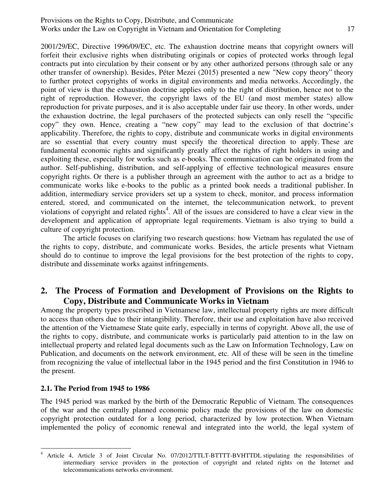#### Provisions on the Rights to Copy, Distribute, and Communicate Works under the Law on Copyright in Vietnam and Orientation for Completing 17

2001/29/EC, Directive 1996/09/EC, etc. The exhaustion doctrine means that copyright owners will forfeit their exclusive rights when distributing originals or copies of protected works through legal contracts put into circulation by their consent or by any other authorized persons (through sale or any other transfer of ownership). Besides, Péter Mezei (2015) presented a new "New copy theory" theory to further protect copyrights of works in digital environments and media networks. Accordingly, the point of view is that the exhaustion doctrine applies only to the right of distribution, hence not to the right of reproduction. However, the copyright laws of the EU (and most member states) allow reproduction for private purposes, and it is also acceptable under fair use theory. In other words, under the exhaustion doctrine, the legal purchasers of the protected subjects can only resell the "specific copy" they own. Hence, creating a "new copy" may lead to the exclusion of that doctrine's applicability. Therefore, the rights to copy, distribute and communicate works in digital environments are so essential that every country must specify the theoretical direction to apply. These are fundamental economic rights and significantly greatly affect the rights of right holders in using and exploiting these, especially for works such as e-books. The communication can be originated from the author. Self-publishing, distribution, and self-applying of effective technological measures ensure copyright rights. Or there is a publisher through an agreement with the author to act as a bridge to communicate works like e-books to the public as a printed book needs a traditional publisher. In addition, intermediary service providers set up a system to check, monitor, and process information entered, stored, and communicated on the internet, the telecommunication network, to prevent violations of copyright and related rights<sup>4</sup>. All of the issues are considered to have a clear view in the development and application of appropriate legal requirements. Vietnam is also trying to build a culture of copyright protection.

The article focuses on clarifying two research questions: how Vietnam has regulated the use of the rights to copy, distribute, and communicate works. Besides, the article presents what Vietnam should do to continue to improve the legal provisions for the best protection of the rights to copy, distribute and disseminate works against infringements.

### **2. The Process of Formation and Development of Provisions on the Rights to Copy, Distribute and Communicate Works in Vietnam**

Among the property types prescribed in Vietnamese law, intellectual property rights are more difficult to access than others due to their intangibility. Therefore, their use and exploitation have also received the attention of the Vietnamese State quite early, especially in terms of copyright. Above all, the use of the rights to copy, distribute, and communicate works is particularly paid attention to in the law on intellectual property and related legal documents such as the Law on Information Technology, Law on Publication, and documents on the network environment, etc. All of these will be seen in the timeline from recognizing the value of intellectual labor in the 1945 period and the first Constitution in 1946 to the present.

#### **2.1. The Period from 1945 to 1986**

The 1945 period was marked by the birth of the Democratic Republic of Vietnam. The consequences of the war and the centrally planned economic policy made the provisions of the law on domestic copyright protection outdated for a long period, characterized by low protection. When Vietnam implemented the policy of economic renewal and integrated into the world, the legal system of

<sup>-</sup>4 Article 4, Article 3 of Joint Circular No. 07/2012/TTLT-BTTTT-BVHTTDL stipulating the responsibilities of intermediary service providers in the protection of copyright and related rights on the Internet and telecommunications networks environment.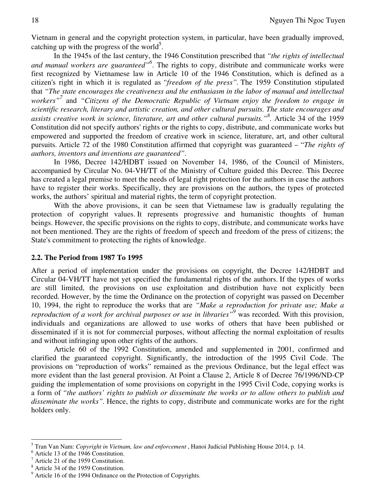Vietnam in general and the copyright protection system, in particular, have been gradually improved, catching up with the progress of the world<sup>5</sup>.

In the 1945s of the last century, the 1946 Constitution prescribed that *"the rights of intellectual and manual workers are guaranteed"<sup>6</sup>* . The rights to copy, distribute and communicate works were first recognized by Vietnamese law in Article 10 of the 1946 Constitution, which is defined as a citizen's right in which it is regulated as *"freedom of the press".* The 1959 Constitution stipulated that *"The state encourages the creativeness and the enthusiasm in the labor of manual and intellectual workers"<sup>7</sup>* and *"Citizens of the Democratic Republic of Vietnam enjoy the freedom to engage in scientific research, literary and artistic creation, and other cultural pursuits. The state encourages and assists creative work in science, literature, art and other cultural pursuits."<sup>8</sup> .* Article 34 of the 1959 Constitution did not specify authors' rights or the rights to copy, distribute, and communicate works but empowered and supported the freedom of creative work in science, literature, art, and other cultural pursuits. Article 72 of the 1980 Constitution affirmed that copyright was guaranteed – "*The rights of authors, inventors and inventions are guaranteed"*.

In 1986, Decree 142/HDBT issued on November 14, 1986, of the Council of Ministers, accompanied by Circular No. 04-VH/TT of the Ministry of Culture guided this Decree. This Decree has created a legal premise to meet the needs of legal right protection for the authors in case the authors have to register their works. Specifically, they are provisions on the authors, the types of protected works, the authors' spiritual and material rights, the term of copyright protection.

With the above provisions, it can be seen that Vietnamese law is gradually regulating the protection of copyright values. It represents progressive and humanistic thoughts of human beings. However, the specific provisions on the rights to copy, distribute, and communicate works have not been mentioned. They are the rights of freedom of speech and freedom of the press of citizens; the State's commitment to protecting the rights of knowledge.

#### **2.2. The Period from 1987 To 1995**

After a period of implementation under the provisions on copyright, the Decree 142/HDBT and Circular 04-VH/TT have not yet specified the fundamental rights of the authors. If the types of works are still limited, the provisions on use exploitation and distribution have not explicitly been recorded. However, by the time the Ordinance on the protection of copyright was passed on December 10, 1994, the right to reproduce the works that are *"Make a reproduction for private use; Make a reproduction of a work for archival purposes or use in libraries"<sup>9</sup>* was recorded*.* With this provision, individuals and organizations are allowed to use works of others that have been published or disseminated if it is not for commercial purposes, without affecting the normal exploitation of results and without infringing upon other rights of the authors.

Article 60 of the 1992 Constitution, amended and supplemented in 2001, confirmed and clarified the guaranteed copyright. Significantly, the introduction of the 1995 Civil Code. The provisions on "reproduction of works" remained as the previous Ordinance, but the legal effect was more evident than the last general provision. At Point a Clause 2, Article 8 of Decree 76/1996/ND-CP guiding the implementation of some provisions on copyright in the 1995 Civil Code, copying works is a form of *"the authors' rights to publish or disseminate the works or to allow others to publish and disseminate the works".* Hence, the rights to copy, distribute and communicate works are for the right holders only.

 5 Tran Van Nam: *Copyright in Vietnam, law and enforcement* , Hanoi Judicial Publishing House 2014, p. 14.

<sup>6</sup> Article 13 of the 1946 Constitution.

<sup>7</sup> Article 21 of the 1959 Constitution.

<sup>8</sup> Article 34 of the 1959 Constitution.

<sup>&</sup>lt;sup>9</sup> Article 16 of the 1994 Ordinance on the Protection of Copyrights.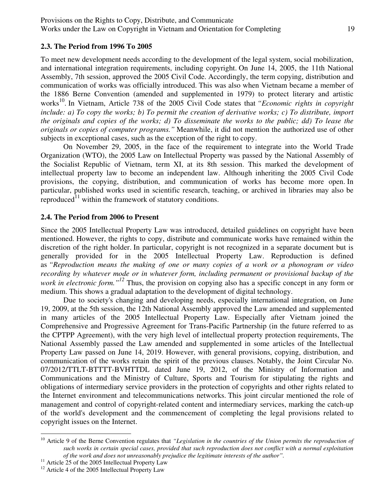#### **2.3. The Period from 1996 To 2005**

To meet new development needs according to the development of the legal system, social mobilization, and international integration requirements, including copyright. On June 14, 2005, the 11th National Assembly, 7th session, approved the 2005 Civil Code. Accordingly, the term copying, distribution and communication of works was officially introduced. This was also when Vietnam became a member of the 1886 Berne Convention (amended and supplemented in 1979) to protect literary and artistic works<sup>10</sup>. In Vietnam, Article 738 of the 2005 Civil Code states that *"Economic rights in copyright include: a) To copy the works; b) To permit the creation of derivative works; c) To distribute, import the originals and copies of the works; d) To disseminate the works to the public; dd) To lease the originals or copies of computer programs."* Meanwhile, it did not mention the authorized use of other subjects in exceptional cases, such as the exception of the right to copy.

On November 29, 2005, in the face of the requirement to integrate into the World Trade Organization (WTO), the 2005 Law on Intellectual Property was passed by the National Assembly of the Socialist Republic of Vietnam, term XI, at its 8th session. This marked the development of intellectual property law to become an independent law. Although inheriting the 2005 Civil Code provisions, the copying, distribution, and communication of works has become more open. In particular, published works used in scientific research, teaching, or archived in libraries may also be reproduced $^{11}$  within the framework of statutory conditions.

#### **2.4. The Period from 2006 to Present**

Since the 2005 Intellectual Property Law was introduced, detailed guidelines on copyright have been mentioned. However, the rights to copy, distribute and communicate works have remained within the discretion of the right holder. In particular, copyright is not recognized in a separate document but is generally provided for in the 2005 Intellectual Property Law. Reproduction is defined as *"Reproduction means the making of one or many copies of a work or a phonogram or video recording by whatever mode or in whatever form, including permanent or provisional backup of the work in electronic form.*<sup>"<sup>12</sup> Thus, the provision on copying also has a specific concept in any form or</sup> medium. This shows a gradual adaptation to the development of digital technology.

Due to society's changing and developing needs, especially international integration, on June 19, 2009, at the 5th session, the 12th National Assembly approved the Law amended and supplemented in many articles of the 2005 Intellectual Property Law. Especially after Vietnam joined the Comprehensive and Progressive Agreement for Trans-Pacific Partnership (in the future referred to as the CPTPP Agreement), with the very high level of intellectual property protection requirements, The National Assembly passed the Law amended and supplemented in some articles of the Intellectual Property Law passed on June 14, 2019. However, with general provisions, copying, distribution, and communication of the works retain the spirit of the previous clauses. Notably, the Joint Circular No. 07/2012/TTLT-BTTTT-BVHTTDL dated June 19, 2012, of the Ministry of Information and Communications and the Ministry of Culture, Sports and Tourism for stipulating the rights and obligations of intermediary service providers in the protection of copyrights and other rights related to the Internet environment and telecommunications networks. This joint circular mentioned the role of management and control of copyright-related content and intermediary services, marking the catch-up of the world's development and the commencement of completing the legal provisions related to copyright issues on the Internet.

-

<sup>&</sup>lt;sup>10</sup> Article 9 of the Berne Convention regulates that "Legislation in the countries of the Union permits the reproduction of *such works in certain special cases, provided that such reproduction does not conflict with a normal exploitation of the work and does not unreasonably prejudice the legitimate interests of the author".*

<sup>&</sup>lt;sup>11</sup> Article 25 of the 2005 Intellectual Property Law

<sup>&</sup>lt;sup>12</sup> Article 4 of the 2005 Intellectual Property Law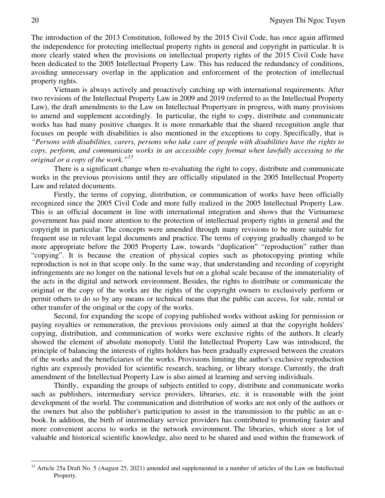The introduction of the 2013 Constitution, followed by the 2015 Civil Code, has once again affirmed the independence for protecting intellectual property rights in general and copyright in particular. It is more clearly stated when the provisions on intellectual property rights of the 2015 Civil Code have been dedicated to the 2005 Intellectual Property Law. This has reduced the redundancy of conditions, avoiding unnecessary overlap in the application and enforcement of the protection of intellectual property rights.

Vietnam is always actively and proactively catching up with international requirements. After two revisions of the Intellectual Property Law in 2009 and 2019 (referred to as the Intellectual Property Law), the draft amendments to the Law on Intellectual Propertyare in progress, with many provisions to amend and supplement accordingly. In particular, the right to copy, distribute and communicate works has had many positive changes. It is more remarkable that the shared recognition angle that focuses on people with disabilities is also mentioned in the exceptions to copy. Specifically, that is *"Persons with disabilities, carers, persons who take care of people with disabilities have the rights to copy, perform, and communicate works in an accessible copy format when lawfully accessing to the original or a copy of the work."<sup>13</sup>*

There is a significant change when re-evaluating the right to copy, distribute and communicate works in the previous provisions until they are officially stipulated in the 2005 Intellectual Property Law and related documents.

Firstly, the terms of copying, distribution, or communication of works have been officially recognized since the 2005 Civil Code and more fully realized in the 2005 Intellectual Property Law. This is an official document in line with international integration and shows that the Vietnamese government has paid more attention to the protection of intellectual property rights in general and the copyright in particular. The concepts were amended through many revisions to be more suitable for frequent use in relevant legal documents and practice. The terms of copying gradually changed to be more appropriate before the 2005 Property Law, towards "duplication" "reproduction" rather than "copying". It is because the creation of physical copies such as photocopying printing while reproduction is not in that scope only. In the same way, that understanding and recording of copyright infringements are no longer on the national levels but on a global scale because of the immateriality of the acts in the digital and network environment. Besides, the rights to distribute or communicate the original or the copy of the works are the rights of the copyright owners to exclusively perform or permit others to do so by any means or technical means that the public can access, for sale, rental or other transfer of the original or the copy of the works.

Second, for expanding the scope of copying published works without asking for permission or paying royalties or remuneration, the previous provisions only aimed at that the copyright holders' copying, distribution, and communication of works were exclusive rights of the authors. It clearly showed the element of absolute monopoly. Until the Intellectual Property Law was introduced, the principle of balancing the interests of rights holders has been gradually expressed between the creators of the works and the beneficiaries of the works. Provisions limiting the author's exclusive reproduction rights are expressly provided for scientific research, teaching, or library storage. Currently, the draft amendment of the Intellectual Property Law is also aimed at learning and serving individuals.

Thirdly, expanding the groups of subjects entitled to copy, distribute and communicate works such as publishers, intermediary service providers, libraries, etc. it is reasonable with the joint development of the world. The communication and distribution of works are not only of the authors or the owners but also the publisher's participation to assist in the transmission to the public as an ebook. In addition, the birth of intermediary service providers has contributed to promoting faster and more convenient access to works in the network environment. The libraries, which store a lot of valuable and historical scientific knowledge, also need to be shared and used within the framework of

 $\overline{a}$ 

<sup>&</sup>lt;sup>13</sup> Article 25a Draft No. 5 (August 25, 2021) amended and supplemented in a number of articles of the Law on Intellectual Property.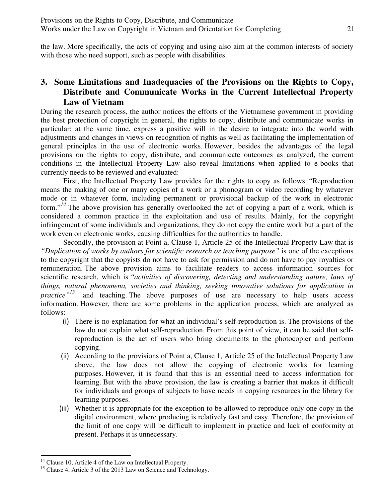the law. More specifically, the acts of copying and using also aim at the common interests of society with those who need support, such as people with disabilities.

# **3. Some Limitations and Inadequacies of the Provisions on the Rights to Copy, Distribute and Communicate Works in the Current Intellectual Property Law of Vietnam**

During the research process, the author notices the efforts of the Vietnamese government in providing the best protection of copyright in general, the rights to copy, distribute and communicate works in particular; at the same time, express a positive will in the desire to integrate into the world with adjustments and changes in views on recognition of rights as well as facilitating the implementation of general principles in the use of electronic works. However, besides the advantages of the legal provisions on the rights to copy, distribute, and communicate outcomes as analyzed, the current conditions in the Intellectual Property Law also reveal limitations when applied to e-books that currently needs to be reviewed and evaluated:

First, the Intellectual Property Law provides for the rights to copy as follows: "Reproduction means the making of one or many copies of a work or a phonogram or video recording by whatever mode or in whatever form, including permanent or provisional backup of the work in electronic form."*14* The above provision has generally overlooked the act of copying a part of a work, which is considered a common practice in the exploitation and use of results. Mainly, for the copyright infringement of some individuals and organizations, they do not copy the entire work but a part of the work even on electronic works, causing difficulties for the authorities to handle.

Secondly, the provision at Point a, Clause 1, Article 25 of the Intellectual Property Law that is *"Duplication of works by authors for scientific research or teaching purpose"* is one of the exceptions to the copyright that the copyists do not have to ask for permission and do not have to pay royalties or remuneration. The above provision aims to facilitate readers to access information sources for scientific research, which is *"activities of discovering, detecting and understanding nature, laws of things, natural phenomena, societies and thinking, seeking innovative solutions for application in practice"15* and teaching. The above purposes of use are necessary to help users access information. However, there are some problems in the application process, which are analyzed as follows:

- (i) There is no explanation for what an individual's self-reproduction is. The provisions of the law do not explain what self-reproduction. From this point of view, it can be said that selfreproduction is the act of users who bring documents to the photocopier and perform copying.
- (ii) According to the provisions of Point a, Clause 1, Article 25 of the Intellectual Property Law above, the law does not allow the copying of electronic works for learning purposes. However, it is found that this is an essential need to access information for learning. But with the above provision, the law is creating a barrier that makes it difficult for individuals and groups of subjects to have needs in copying resources in the library for learning purposes.
- (iii) Whether it is appropriate for the exception to be allowed to reproduce only one copy in the digital environment, where producing is relatively fast and easy. Therefore, the provision of the limit of one copy will be difficult to implement in practice and lack of conformity at present. Perhaps it is unnecessary.

-

 $14$  Clause 10, Article 4 of the Law on Intellectual Property.

<sup>&</sup>lt;sup>15</sup> Clause 4, Article 3 of the 2013 Law on Science and Technology.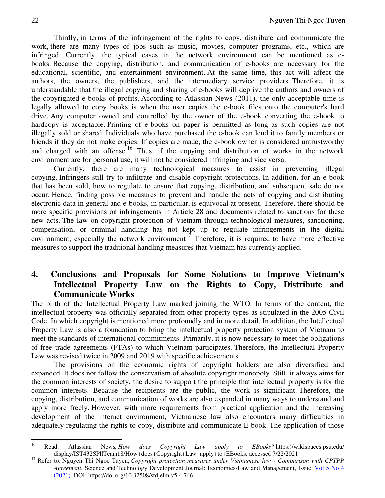Thirdly, in terms of the infringement of the rights to copy, distribute and communicate the work, there are many types of jobs such as music, movies, computer programs, etc., which are infringed. Currently, the typical cases in the network environment can be mentioned as ebooks. Because the copying, distribution, and communication of e-books are necessary for the educational, scientific, and entertainment environment. At the same time, this act will affect the authors, the owners, the publishers, and the intermediary service providers. Therefore, it is understandable that the illegal copying and sharing of e-books will deprive the authors and owners of the copyrighted e-books of profits. According to Atlassian News (2011), the only acceptable time is legally allowed to copy books is when the user copies the e-book files onto the computer's hard drive. Any computer owned and controlled by the owner of the e-book converting the e-book to hardcopy is acceptable. Printing of e-books on paper is permitted as long as such copies are not illegally sold or shared. Individuals who have purchased the e-book can lend it to family members or friends if they do not make copies. If copies are made, the e-book owner is considered untrustworthy and charged with an offense.<sup>16</sup> Thus, if the copying and distribution of works in the network environment are for personal use, it will not be considered infringing and vice versa.

Currently, there are many technological measures to assist in preventing illegal copying. Infringers still try to infiltrate and disable copyright protections. In addition, for an e-book that has been sold, how to regulate to ensure that copying, distribution, and subsequent sale do not occur. Hence, finding possible measures to prevent and handle the acts of copying and distributing electronic data in general and e-books, in particular, is equivocal at present. Therefore, there should be more specific provisions on infringements in Article 28 and documents related to sanctions for these new acts. The law on copyright protection of Vietnam through technological measures, sanctioning, compensation, or criminal handling has not kept up to regulate infringements in the digital environment, especially the network environment<sup>17</sup>. Therefore, it is required to have more effective measures to support the traditional handling measures that Vietnam has currently applied.

# **4. Conclusions and Proposals for Some Solutions to Improve Vietnam's Intellectual Property Law on the Rights to Copy, Distribute and Communicate Works**

The birth of the Intellectual Property Law marked joining the WTO. In terms of the content, the intellectual property was officially separated from other property types as stipulated in the 2005 Civil Code. In which copyright is mentioned more profoundly and in more detail. In addition, the Intellectual Property Law is also a foundation to bring the intellectual property protection system of Vietnam to meet the standards of international commitments. Primarily, it is now necessary to meet the obligations of free trade agreements (FTAs) to which Vietnam participates. Therefore, the Intellectual Property Law was revised twice in 2009 and 2019 with specific achievements.

The provisions on the economic rights of copyright holders are also diversified and expanded. It does not follow the conservatism of absolute copyright monopoly. Still, it always aims for the common interests of society, the desire to support the principle that intellectual property is for the common interests. Because the recipients are the public, the work is significant. Therefore, the copying, distribution, and communication of works are also expanded in many ways to understand and apply more freely. However, with more requirements from practical application and the increasing development of the internet environment, Vietnamese law also encounters many difficulties in adequately regulating the rights to copy, distribute and communicate E-book. The application of those

<sup>16</sup> <sup>16</sup> Read: Atlassian News, *How does Copyright Law apply to EBooks?* https:!/wikispaces.psu.edu/ display/IST432SPllTeam18/How+does+Copyright+Law+apply+to+EBooks, accessed 7/22/2021

<sup>&</sup>lt;sup>17</sup> Refer to: Nguyen Thi Ngoc Tuyen, *Copyright protection measures under Vietnamese law - Comparison with CPTPP Agreement*, Science and Technology Development Journal: Economics-Law and Management, Issue: Vol 5 No 4 (2021). DOI: https://doi.org/10.32508/stdjelm.v5i4.746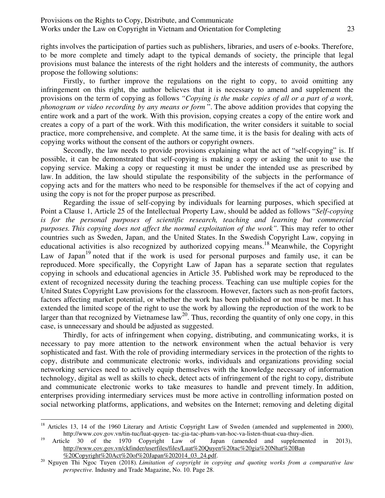rights involves the participation of parties such as publishers, libraries, and users of e-books. Therefore, to be more complete and timely adapt to the typical demands of society, the principle that legal provisions must balance the interests of the right holders and the interests of community, the authors propose the following solutions:

Firstly, to further improve the regulations on the right to copy, to avoid omitting any infringement on this right, the author believes that it is necessary to amend and supplement the provisions on the term of copying as follows *"Copying is the make copies of all or a part of a work, phonogram or video recording by any means or form* ". The above addition provides that copying the entire work and a part of the work. With this provision, copying creates a copy of the entire work and creates a copy of a part of the work. With this modification, the writer considers it suitable to social practice, more comprehensive, and complete. At the same time, it is the basis for dealing with acts of copying works without the consent of the authors or copyright owners.

Secondly, the law needs to provide provisions explaining what the act of "self-copying" is. If possible, it can be demonstrated that self-copying is making a copy or asking the unit to use the copying service. Making a copy or requesting it must be under the intended use as prescribed by law. In addition, the law should stipulate the responsibility of the subjects in the performance of copying acts and for the matters who need to be responsible for themselves if the act of copying and using the copy is not for the proper purpose as prescribed.

Regarding the issue of self-copying by individuals for learning purposes, which specified at Point a Clause 1, Article 25 of the Intellectual Property Law, should be added as follows "*Self-copying is for the personal purposes of scientific research, teaching and learning but commercial purposes. This copying does not affect the normal exploitation of the work". This may refer to other* countries such as Sweden, Japan, and the United States. In the Swedish Copyright Law, copying in educational activities is also recognized by authorized copying means.<sup>18</sup> Meanwhile, the Copyright Law of Japan<sup>19</sup> noted that if the work is used for personal purposes and family use, it can be reproduced. More specifically, the Copyright Law of Japan has a separate section that regulates copying in schools and educational agencies in Article 35. Published work may be reproduced to the extent of recognized necessity during the teaching process. Teaching can use multiple copies for the United States Copyright Law provisions for the classroom. However, factors such as non-profit factors, factors affecting market potential, or whether the work has been published or not must be met. It has extended the limited scope of the right to use the work by allowing the reproduction of the work to be larger than that recognized by Vietnamese  $law^{20}$ . Thus, recording the quantity of only one copy, in this case, is unnecessary and should be adjusted as suggested.

Thirdly, for acts of infringement when copying, distributing, and communicating works, it is necessary to pay more attention to the network environment when the actual behavior is very sophisticated and fast. With the role of providing intermediary services in the protection of the rights to copy, distribute and communicate electronic works, individuals and organizations providing social networking services need to actively equip themselves with the knowledge necessary of information technology, digital as well as skills to check, detect acts of infringement of the right to copy, distribute and communicate electronic works to take measures to handle and prevent timely. In addition, enterprises providing intermediary services must be more active in controlling information posted on social networking platforms, applications, and websites on the Internet; removing and deleting digital

-

<sup>&</sup>lt;sup>18</sup> Articles 13, 14 of the 1960 Literary and Artistic Copyright Law of Sweden (amended and supplemented in 2000), http://www.cov.gov.vn/tin-tuc/luat-quyen- tac-gia-tac-pham-van-hoc-va-listen-thuat-cua-thuy-dien.

<sup>&</sup>lt;sup>19</sup> Article 30 of the 1970 Copyright Law of Japan (amended and supplemented in 2013), http://www.cov.gov.vn/ckfinder/userfiles/files/Luat%20Quyen%20tac%20gia%20Nhat%20Ban %20Copyright%20Act%20of%20Japan%202014\_03\_24.pdf.

<sup>20</sup> Nguyen Thi Ngoc Tuyen (2018)*. Limitation of copyright in copying and quoting works from a comparative law perspective.* Industry and Trade Magazine, No. 10. Page 28.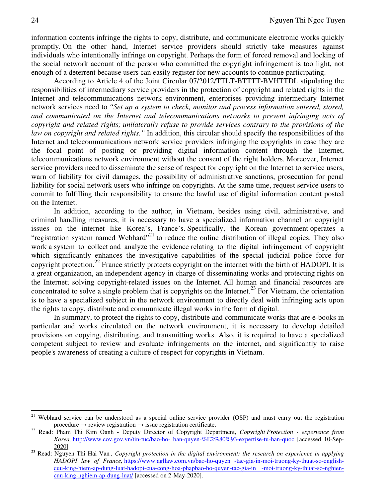information contents infringe the rights to copy, distribute, and communicate electronic works quickly promptly. On the other hand, Internet service providers should strictly take measures against individuals who intentionally infringe on copyright. Perhaps the form of forced removal and locking of the social network account of the person who committed the copyright infringement is too light, not enough of a deterrent because users can easily register for new accounts to continue participating.

According to Article 4 of the Joint Circular 07/2012/TTLT-BTTTT-BVHTTDL stipulating the responsibilities of intermediary service providers in the protection of copyright and related rights in the Internet and telecommunications network environment, enterprises providing intermediary Internet network services need to *"Set up a system to check, monitor and process information entered, stored, and communicated on the Internet and telecommunications networks to prevent infringing acts of copyright and related rights; unilaterally refuse to provide services contrary to the provisions of the law on copyright and related rights."* In addition, this circular should specify the responsibilities of the Internet and telecommunications network service providers infringing the copyrights in case they are the focal point of posting or providing digital information content through the Internet, telecommunications network environment without the consent of the right holders. Moreover, Internet service providers need to disseminate the sense of respect for copyright on the Internet to service users, warn of liability for civil damages, the possibility of administrative sanctions, prosecution for penal liability for social network users who infringe on copyrights. At the same time, request service users to commit to fulfilling their responsibility to ensure the lawful use of digital information content posted on the Internet.

In addition, according to the author, in Vietnam, besides using civil, administrative, and criminal handling measures, it is necessary to have a specialized information channel on copyright issues on the internet like Korea's, France's. Specifically, the Korean government operates a "registration system named Webhard"<sup>21</sup> to reduce the online distribution of illegal copies. They also work a system to collect and analyze the evidence relating to the digital infringement of copyright which significantly enhances the investigative capabilities of the special judicial police force for copyright protection.<sup>22</sup> France strictly protects copyright on the internet with the birth of HADOPI. It is a great organization, an independent agency in charge of disseminating works and protecting rights on the Internet; solving copyright-related issues on the Internet. All human and financial resources are concentrated to solve a single problem that is copyrights on the Internet.<sup>23</sup> For Vietnam, the orientation is to have a specialized subject in the network environment to directly deal with infringing acts upon the rights to copy, distribute and communicate illegal works in the form of digital.

In summary, to protect the rights to copy, distribute and communicate works that are e-books in particular and works circulated on the network environment, it is necessary to develop detailed provisions on copying, distributing, and transmitting works. Also, it is required to have a specialized competent subject to review and evaluate infringements on the internet, and significantly to raise people's awareness of creating a culture of respect for copyrights in Vietnam.

<sup>21</sup> <sup>21</sup> Webhard service can be understood as a special online service provider (OSP) and must carry out the registration procedure  $\rightarrow$  review registration  $\rightarrow$  issue registration certificate.

<sup>22</sup> Read: Pham Thi Kim Oanh - Deputy Director of Copyright Department, *Copyright Protection - experience from Korea,* http://www.cov.gov.vn/tin-tuc/bao-ho- ban-quyen-%E2%80%93-expertise-tu-han-quoc [accessed 10-Sep-2020]

<sup>&</sup>lt;sup>23</sup> Read: Nguyen Thi Hai Van, Copyright protection in the digital environment: the research on experience in applying *HADOPI law of France,* https://www.agllaw.com.vn/bao-ho-quyen -tac-gia-in-moi-truong-ky-thuat-so-englishcuu-king-hiem-ap-dung-luat-hadopi-cua-cong-hoa-phapbao-ho-quyen-tac-gia-in -moi-truong-ky-thuat-so-nghiencuu-king-nghiem-ap-dung-luat/ [accessed on 2-May-2020].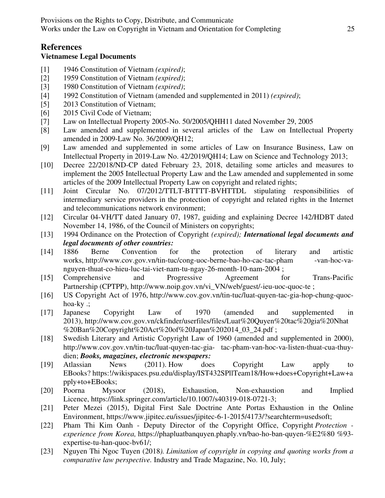## **References**

#### **Vietnamese Legal Documents**

- [1] 1946 Constitution of Vietnam *(expired)*;
- [2] 1959 Constitution of Vietnam *(expired)*;
- [3] 1980 Constitution of Vietnam *(expired)*;
- [4] 1992 Constitution of Vietnam (amended and supplemented in 2011) *(expired)*;
- [5] 2013 Constitution of Vietnam;
- [6] 2015 Civil Code of Vietnam;
- [7] Law on Intellectual Property 2005-No. 50/2005/QHH11 dated November 29, 2005
- [8] Law amended and supplemented in several articles of the Law on Intellectual Property amended in 2009-Law No. 36/2009/QH12;
- [9] Law amended and supplemented in some articles of Law on Insurance Business, Law on Intellectual Property in 2019-Law No. 42/2019/QH14; Law on Science and Technology 2013;
- [10] Decree 22/2018/ND-CP dated February 23, 2018, detailing some articles and measures to implement the 2005 Intellectual Property Law and the Law amended and supplemented in some articles of the 2009 Intellectual Property Law on copyright and related rights;
- [11] Joint Circular No. 07/2012/TTLT-BTTTT-BVHTTDL stipulating responsibilities of intermediary service providers in the protection of copyright and related rights in the Internet and telecommunications network environment;
- [12] Circular 04-VH/TT dated January 07, 1987, guiding and explaining Decree 142/HDBT dated November 14, 1986, of the Council of Ministers on copyrights;
- [13] 1994 Ordinance on the Protection of Copyright *(expired); International legal documents and legal documents of other countries:*
- [14] 1886 Berne Convention for the protection of literary and artistic works, http://www.cov.gov.vn/tin-tuc/cong-uoc-berne-bao-ho-cac-tac-pham -van-hoc-vanguyen-thuat-co-hieu-luc-tai-viet-nam-tu-ngay-26-month-10-nam-2004 ;
- [15] Comprehensive and Progressive Agreement for Trans-Pacific Partnership (CPTPP), http://www.noip.gov.vn/vi\_VN/web/guest/-ieu-uoc-quoc-te ;
- [16] US Copyright Act of 1976, http://www.cov.gov.vn/tin-tuc/luat-quyen-tac-gia-hop-chung-quochoa-ky .;
- [17] Japanese Copyright Law of 1970 (amended and supplemented in 2013), http://www.cov.gov.vn/ckfinder/userfiles/files/Luat%20Quyen%20tac%20gia%20Nhat %20Ban%20Copyright%20Act%20of%20Japan%202014\_03\_24.pdf ;
- [18] Swedish Literary and Artistic Copyright Law of 1960 (amended and supplemented in 2000), http://www.cov.gov.vn/tin-tuc/luat-quyen-tac-gia- tac-pham-van-hoc-va-listen-thuat-cua-thuydien; *Books, magazines, electronic newspapers:*
- [19] Atlassian News (2011). How does Copyright Law apply to EBooks? https:!/wikispaces.psu.edu/display/IST432SPllTeam18/How+does+Copyright+Law+a pply+to+EBooks;
- [20] Poorna Mysoor (2018), Exhaustion, Non-exhaustion and Implied Licence, https://link.springer.com/article/10.1007/s40319-018-0721-3;
- [21] Peter Mezei (2015), Digital First Sale Doctrine Ante Portas Exhaustion in the Online Environment, https://www.jipitec.eu/issues/jipitec-6-1-2015/4173/?searchterm=usedsoft;
- [22] Pham Thi Kim Oanh Deputy Director of the Copyright Office, Copyright *Protection experience from Korea,* https://phapluatbanquyen.phaply.vn/bao-ho-ban-quyen-%E2%80 %93 expertise-tu-han-quoc-bv61/;
- [23] Nguyen Thi Ngoc Tuyen (2018*). Limitation of copyright in copying and quoting works from a comparative law perspective.* Industry and Trade Magazine, No. 10, July;